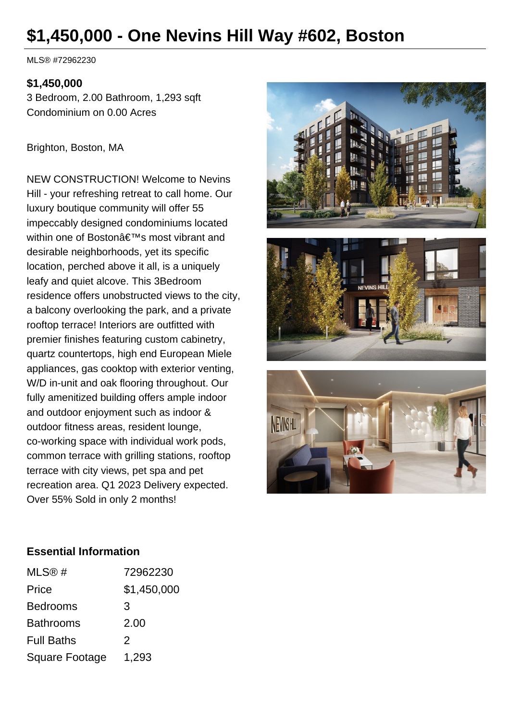# **\$1,450,000 - One Nevins Hill Way #602, Boston**

MLS® #72962230

#### **\$1,450,000**

3 Bedroom, 2.00 Bathroom, 1,293 sqft Condominium on 0.00 Acres

Brighton, Boston, MA

NEW CONSTRUCTION! Welcome to Nevins Hill - your refreshing retreat to call home. Our luxury boutique community will offer 55 impeccably designed condominiums located within one of Bostonâ€<sup>™</sup>s most vibrant and desirable neighborhoods, yet its specific location, perched above it all, is a uniquely leafy and quiet alcove. This 3Bedroom residence offers unobstructed views to the city, a balcony overlooking the park, and a private rooftop terrace! Interiors are outfitted with premier finishes featuring custom cabinetry, quartz countertops, high end European Miele appliances, gas cooktop with exterior venting, W/D in-unit and oak flooring throughout. Our fully amenitized building offers ample indoor and outdoor enjoyment such as indoor & outdoor fitness areas, resident lounge, co-working space with individual work pods, common terrace with grilling stations, rooftop terrace with city views, pet spa and pet recreation area. Q1 2023 Delivery expected. Over 55% Sold in only 2 months!







#### **Essential Information**

| MLS@#             | 72962230    |
|-------------------|-------------|
| Price             | \$1,450,000 |
| <b>Bedrooms</b>   | 3           |
| <b>Bathrooms</b>  | 2.00        |
| <b>Full Baths</b> | 2           |
| Square Footage    | 1,293       |